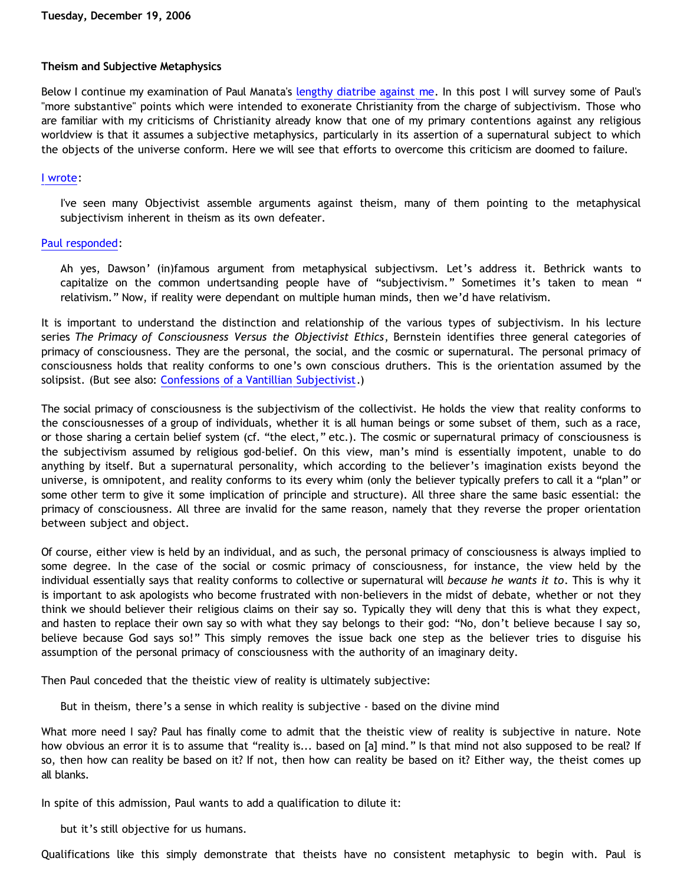## **Theism and Subjective Metaphysics**

Below I continue my examination of Paul Manata's [lengthy diatribe against me](http://triablogue.blogspot.com/2006/11/bethrick-burner.html). In this post I will survey some of Paul's "more substantive" points which were intended to exonerate Christianity from the charge of subjectivism. Those who are familiar with my criticisms of Christianity already know that one of my primary contentions against any religious worldview is that it assumes a subjective metaphysics, particularly in its assertion of a supernatural subject to which the objects of the universe conform. Here we will see that efforts to overcome this criticism are doomed to failure.

## [I wrote:](http://bahnsenburner.blogspot.com/2006/10/those-delicate-christian-sensibilities.html)

I've seen many Objectivist assemble arguments against theism, many of them pointing to the metaphysical subjectivism inherent in theism as its own defeater.

# [Paul responded](http://triablogue.blogspot.com/2006/11/bethrick-burner.html):

Ah yes, Dawson' (in)famous argument from metaphysical subjectivsm. Let's address it. Bethrick wants to capitalize on the common undertsanding people have of "subjectivism." Sometimes it's taken to mean " relativism." Now, if reality were dependant on multiple human minds, then we'd have relativism.

It is important to understand the distinction and relationship of the various types of subjectivism. In his lecture series *The Primacy of Consciousness Versus the Objectivist Ethics*, Bernstein identifies three general categories of primacy of consciousness. They are the personal, the social, and the cosmic or supernatural. The personal primacy of consciousness holds that reality conforms to one's own conscious druthers. This is the orientation assumed by the solipsist. (But see also: [Confessions of a Vantillian Subjectivist](http://bahnsenburner.blogspot.com/2006/03/confessions-of-vantillian-subjectivist.html).)

The social primacy of consciousness is the subjectivism of the collectivist. He holds the view that reality conforms to the consciousnesses of a group of individuals, whether it is all human beings or some subset of them, such as a race, or those sharing a certain belief system (cf. "the elect," etc.). The cosmic or supernatural primacy of consciousness is the subjectivism assumed by religious god-belief. On this view, man's mind is essentially impotent, unable to do anything by itself. But a supernatural personality, which according to the believer's imagination exists beyond the universe, is omnipotent, and reality conforms to its every whim (only the believer typically prefers to call it a "plan" or some other term to give it some implication of principle and structure). All three share the same basic essential: the primacy of consciousness. All three are invalid for the same reason, namely that they reverse the proper orientation between subject and object.

Of course, either view is held by an individual, and as such, the personal primacy of consciousness is always implied to some degree. In the case of the social or cosmic primacy of consciousness, for instance, the view held by the individual essentially says that reality conforms to collective or supernatural will *because he wants it to*. This is why it is important to ask apologists who become frustrated with non-believers in the midst of debate, whether or not they think we should believer their religious claims on their say so. Typically they will deny that this is what they expect, and hasten to replace their own say so with what they say belongs to their god: "No, don't believe because I say so, believe because God says so!" This simply removes the issue back one step as the believer tries to disguise his assumption of the personal primacy of consciousness with the authority of an imaginary deity.

Then Paul conceded that the theistic view of reality is ultimately subjective:

But in theism, there's a sense in which reality is subjective - based on the divine mind

What more need I say? Paul has finally come to admit that the theistic view of reality is subjective in nature. Note how obvious an error it is to assume that "reality is... based on [a] mind." Is that mind not also supposed to be real? If so, then how can reality be based on it? If not, then how can reality be based on it? Either way, the theist comes up all blanks.

In spite of this admission, Paul wants to add a qualification to dilute it:

but it's still objective for us humans.

Qualifications like this simply demonstrate that theists have no consistent metaphysic to begin with. Paul is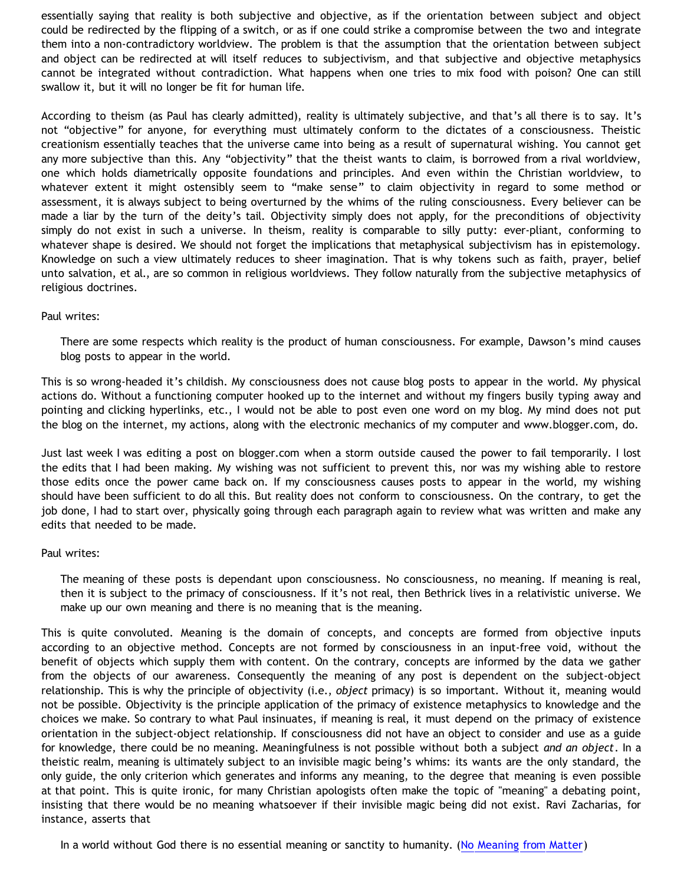essentially saying that reality is both subjective and objective, as if the orientation between subject and object could be redirected by the flipping of a switch, or as if one could strike a compromise between the two and integrate them into a non-contradictory worldview. The problem is that the assumption that the orientation between subject and object can be redirected at will itself reduces to subjectivism, and that subjective and objective metaphysics cannot be integrated without contradiction. What happens when one tries to mix food with poison? One can still swallow it, but it will no longer be fit for human life.

According to theism (as Paul has clearly admitted), reality is ultimately subjective, and that's all there is to say. It's not "objective" for anyone, for everything must ultimately conform to the dictates of a consciousness. Theistic creationism essentially teaches that the universe came into being as a result of supernatural wishing. You cannot get any more subjective than this. Any "objectivity" that the theist wants to claim, is borrowed from a rival worldview, one which holds diametrically opposite foundations and principles. And even within the Christian worldview, to whatever extent it might ostensibly seem to "make sense" to claim objectivity in regard to some method or assessment, it is always subject to being overturned by the whims of the ruling consciousness. Every believer can be made a liar by the turn of the deity's tail. Objectivity simply does not apply, for the preconditions of objectivity simply do not exist in such a universe. In theism, reality is comparable to silly putty: ever-pliant, conforming to whatever shape is desired. We should not forget the implications that metaphysical subjectivism has in epistemology. Knowledge on such a view ultimately reduces to sheer imagination. That is why tokens such as faith, prayer, belief unto salvation, et al., are so common in religious worldviews. They follow naturally from the subjective metaphysics of religious doctrines.

## Paul writes:

There are some respects which reality is the product of human consciousness. For example, Dawson's mind causes blog posts to appear in the world.

This is so wrong-headed it's childish. My consciousness does not cause blog posts to appear in the world. My physical actions do. Without a functioning computer hooked up to the internet and without my fingers busily typing away and pointing and clicking hyperlinks, etc., I would not be able to post even one word on my blog. My mind does not put the blog on the internet, my actions, along with the electronic mechanics of my computer and www.blogger.com, do.

Just last week I was editing a post on blogger.com when a storm outside caused the power to fail temporarily. I lost the edits that I had been making. My wishing was not sufficient to prevent this, nor was my wishing able to restore those edits once the power came back on. If my consciousness causes posts to appear in the world, my wishing should have been sufficient to do all this. But reality does not conform to consciousness. On the contrary, to get the job done, I had to start over, physically going through each paragraph again to review what was written and make any edits that needed to be made.

## Paul writes:

The meaning of these posts is dependant upon consciousness. No consciousness, no meaning. If meaning is real, then it is subject to the primacy of consciousness. If it's not real, then Bethrick lives in a relativistic universe. We make up our own meaning and there is no meaning that is the meaning.

This is quite convoluted. Meaning is the domain of concepts, and concepts are formed from objective inputs according to an objective method. Concepts are not formed by consciousness in an input-free void, without the benefit of objects which supply them with content. On the contrary, concepts are informed by the data we gather from the objects of our awareness. Consequently the meaning of any post is dependent on the subject-object relationship. This is why the principle of objectivity (i.e., *object* primacy) is so important. Without it, meaning would not be possible. Objectivity is the principle application of the primacy of existence metaphysics to knowledge and the choices we make. So contrary to what Paul insinuates, if meaning is real, it must depend on the primacy of existence orientation in the subject-object relationship. If consciousness did not have an object to consider and use as a guide for knowledge, there could be no meaning. Meaningfulness is not possible without both a subject *and an object*. In a theistic realm, meaning is ultimately subject to an invisible magic being's whims: its wants are the only standard, the only guide, the only criterion which generates and informs any meaning, to the degree that meaning is even possible at that point. This is quite ironic, for many Christian apologists often make the topic of "meaning" a debating point, insisting that there would be no meaning whatsoever if their invisible magic being did not exist. Ravi Zacharias, for instance, asserts that

In a world without God there is no essential meaning or sanctity to humanity. ([No Meaning from Matter\)](http://www.rzim.org/slice/slicetran.php?sliceid=83)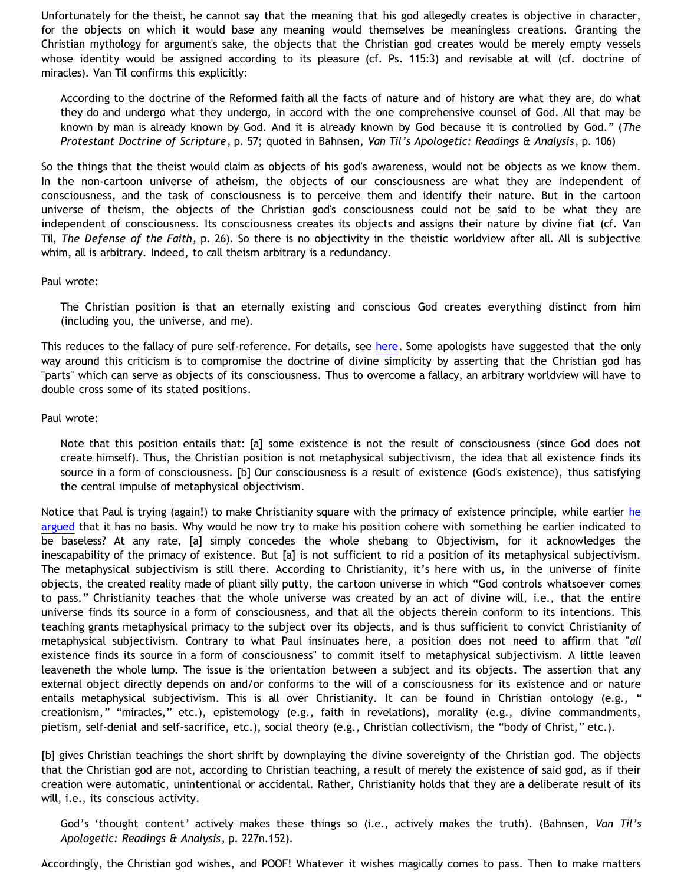Unfortunately for the theist, he cannot say that the meaning that his god allegedly creates is objective in character, for the objects on which it would base any meaning would themselves be meaningless creations. Granting the Christian mythology for argument's sake, the objects that the Christian god creates would be merely empty vessels whose identity would be assigned according to its pleasure (cf. Ps. 115:3) and revisable at will (cf. doctrine of miracles). Van Til confirms this explicitly:

According to the doctrine of the Reformed faith all the facts of nature and of history are what they are, do what they do and undergo what they undergo, in accord with the one comprehensive counsel of God. All that may be known by man is already known by God. And it is already known by God because it is controlled by God." (*The Protestant Doctrine of Scripture*, p. 57; quoted in Bahnsen, *Van Til's Apologetic: Readings & Analysis*, p. 106)

So the things that the theist would claim as objects of his god's awareness, would not be objects as we know them. In the non-cartoon universe of atheism, the objects of our consciousness are what they are independent of consciousness, and the task of consciousness is to perceive them and identify their nature. But in the cartoon universe of theism, the objects of the Christian god's consciousness could not be said to be what they are independent of consciousness. Its consciousness creates its objects and assigns their nature by divine fiat (cf. Van Til, *The Defense of the Faith*, p. 26). So there is no objectivity in the theistic worldview after all. All is subjective whim, all is arbitrary. Indeed, to call theism arbitrary is a redundancy.

#### Paul wrote:

The Christian position is that an eternally existing and conscious God creates everything distinct from him (including you, the universe, and me).

This reduces to the fallacy of pure self-reference. For details, see [here](http://www.geocities.com/Athens/Sparta/1019/LTYA/LTYA06.htm). Some apologists have suggested that the only way around this criticism is to compromise the doctrine of divine simplicity by asserting that the Christian god has "parts" which can serve as objects of its consciousness. Thus to overcome a fallacy, an arbitrary worldview will have to double cross some of its stated positions.

#### Paul wrote:

Note that this position entails that: [a] some existence is not the result of consciousness (since God does not create himself). Thus, the Christian position is not metaphysical subjectivism, the idea that all existence finds its source in a form of consciousness. [b] Our consciousness is a result of existence (God's existence), thus satisfying the central impulse of metaphysical objectivism.

Notice that Paul is trying (again!) to make Christianity square with the primacy of existence principle, while earlier [he](http://bahnsenburner.blogspot.com/2006/12/axioms-and-primacy-of-existence.html) [argued](http://bahnsenburner.blogspot.com/2006/12/axioms-and-primacy-of-existence.html) that it has no basis. Why would he now try to make his position cohere with something he earlier indicated to be baseless? At any rate, [a] simply concedes the whole shebang to Objectivism, for it acknowledges the inescapability of the primacy of existence. But [a] is not sufficient to rid a position of its metaphysical subjectivism. The metaphysical subjectivism is still there. According to Christianity, it's here with us, in the universe of finite objects, the created reality made of pliant silly putty, the cartoon universe in which "God controls whatsoever comes to pass." Christianity teaches that the whole universe was created by an act of divine will, i.e., that the entire universe finds its source in a form of consciousness, and that all the objects therein conform to its intentions. This teaching grants metaphysical primacy to the subject over its objects, and is thus sufficient to convict Christianity of metaphysical subjectivism. Contrary to what Paul insinuates here, a position does not need to affirm that "*all* existence finds its source in a form of consciousness" to commit itself to metaphysical subjectivism. A little leaven leaveneth the whole lump. The issue is the orientation between a subject and its objects. The assertion that any external object directly depends on and/or conforms to the will of a consciousness for its existence and or nature entails metaphysical subjectivism. This is all over Christianity. It can be found in Christian ontology (e.g., " creationism," "miracles," etc.), epistemology (e.g., faith in revelations), morality (e.g., divine commandments, pietism, self-denial and self-sacrifice, etc.), social theory (e.g., Christian collectivism, the "body of Christ," etc.).

[b] gives Christian teachings the short shrift by downplaying the divine sovereignty of the Christian god. The objects that the Christian god are not, according to Christian teaching, a result of merely the existence of said god, as if their creation were automatic, unintentional or accidental. Rather, Christianity holds that they are a deliberate result of its will, i.e., its conscious activity.

God's 'thought content' actively makes these things so (i.e., actively makes the truth). (Bahnsen, *Van Til's Apologetic: Readings & Analysis*, p. 227n.152).

Accordingly, the Christian god wishes, and POOF! Whatever it wishes magically comes to pass. Then to make matters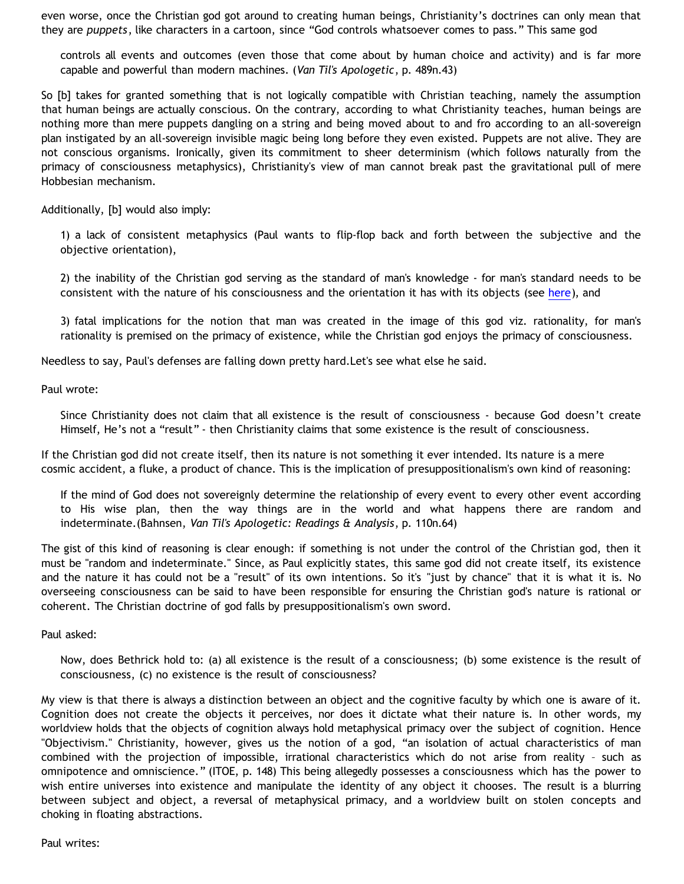even worse, once the Christian god got around to creating human beings, Christianity's doctrines can only mean that they are *puppets*, like characters in a cartoon, since "God controls whatsoever comes to pass." This same god

controls all events and outcomes (even those that come about by human choice and activity) and is far more capable and powerful than modern machines. (*Van Til's Apologetic*, p. 489n.43)

So [b] takes for granted something that is not logically compatible with Christian teaching, namely the assumption that human beings are actually conscious. On the contrary, according to what Christianity teaches, human beings are nothing more than mere puppets dangling on a string and being moved about to and fro according to an all-sovereign plan instigated by an all-sovereign invisible magic being long before they even existed. Puppets are not alive. They are not conscious organisms. Ironically, given its commitment to sheer determinism (which follows naturally from the primacy of consciousness metaphysics), Christianity's view of man cannot break past the gravitational pull of mere Hobbesian mechanism.

Additionally, [b] would also imply:

1) a lack of consistent metaphysics (Paul wants to flip-flop back and forth between the subjective and the objective orientation),

2) the inability of the Christian god serving as the standard of man's knowledge - for man's standard needs to be consistent with the nature of his consciousness and the orientation it has with its objects (see [here\)](http://bahnsenburner.blogspot.com/2006/12/axioms-and-primacy-of-existence.html), and

3) fatal implications for the notion that man was created in the image of this god viz. rationality, for man's rationality is premised on the primacy of existence, while the Christian god enjoys the primacy of consciousness.

Needless to say, Paul's defenses are falling down pretty hard.Let's see what else he said.

Paul wrote:

Since Christianity does not claim that all existence is the result of consciousness - because God doesn't create Himself, He's not a "result" - then Christianity claims that some existence is the result of consciousness.

If the Christian god did not create itself, then its nature is not something it ever intended. Its nature is a mere cosmic accident, a fluke, a product of chance. This is the implication of presuppositionalism's own kind of reasoning:

If the mind of God does not sovereignly determine the relationship of every event to every other event according to His wise plan, then the way things are in the world and what happens there are random and indeterminate.(Bahnsen, *Van Til's Apologetic: Readings & Analysis*, p. 110n.64)

The gist of this kind of reasoning is clear enough: if something is not under the control of the Christian god, then it must be "random and indeterminate." Since, as Paul explicitly states, this same god did not create itself, its existence and the nature it has could not be a "result" of its own intentions. So it's "just by chance" that it is what it is. No overseeing consciousness can be said to have been responsible for ensuring the Christian god's nature is rational or coherent. The Christian doctrine of god falls by presuppositionalism's own sword.

Paul asked:

Now, does Bethrick hold to: (a) all existence is the result of a consciousness; (b) some existence is the result of consciousness, (c) no existence is the result of consciousness?

My view is that there is always a distinction between an object and the cognitive faculty by which one is aware of it. Cognition does not create the objects it perceives, nor does it dictate what their nature is. In other words, my worldview holds that the objects of cognition always hold metaphysical primacy over the subject of cognition. Hence "Objectivism." Christianity, however, gives us the notion of a god, "an isolation of actual characteristics of man combined with the projection of impossible, irrational characteristics which do not arise from reality – such as omnipotence and omniscience." (ITOE, p. 148) This being allegedly possesses a consciousness which has the power to wish entire universes into existence and manipulate the identity of any object it chooses. The result is a blurring between subject and object, a reversal of metaphysical primacy, and a worldview built on stolen concepts and choking in floating abstractions.

Paul writes: